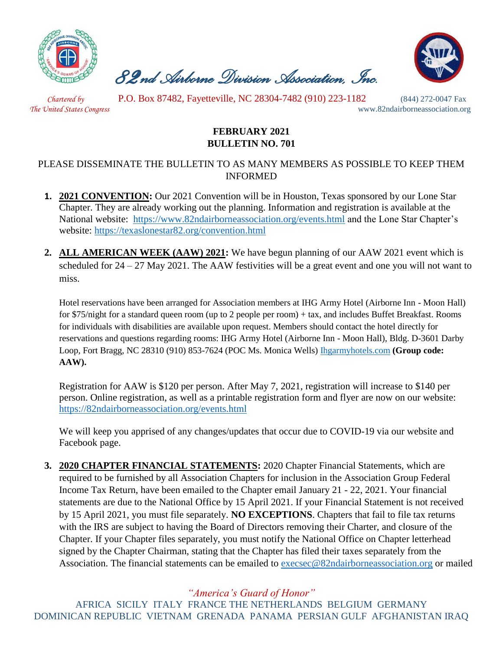

 *82nd Airborne Division Association, Inc.* 



 *Chartered by* P.O. Box 87482, Fayetteville, NC 28304-7482 (910) 223-1182 (844) 272-0047 Fax

*The United States Congress* www.82ndairborneassociation.org

## **FEBRUARY 2021 BULLETIN NO. 701**

## PLEASE DISSEMINATE THE BULLETIN TO AS MANY MEMBERS AS POSSIBLE TO KEEP THEM INFORMED

- **1. 2021 CONVENTION:** Our 2021 Convention will be in Houston, Texas sponsored by our Lone Star Chapter. They are already working out the planning. Information and registration is available at the National website: <https://www.82ndairborneassociation.org/events.html> and the Lone Star Chapter's website:<https://texaslonestar82.org/convention.html>
- **2. ALL AMERICAN WEEK (AAW) 2021:** We have begun planning of our AAW 2021 event which is scheduled for 24 – 27 May 2021. The AAW festivities will be a great event and one you will not want to miss.

Hotel reservations have been arranged for Association members at IHG Army Hotel (Airborne Inn - Moon Hall) for \$75/night for a standard queen room (up to 2 people per room) + tax, and includes Buffet Breakfast. Rooms for individuals with disabilities are available upon request. Members should contact the hotel directly for reservations and questions regarding rooms: IHG Army Hotel (Airborne Inn - Moon Hall), Bldg. D-3601 Darby Loop, Fort Bragg, NC 28310 (910) 853-7624 (POC Ms. Monica Wells) [Ihgarmyhotels.com](file:///C:/Users/Execurive%20Director/Downloads/01.%20%20Jan%202021%20National%20Bulletin.docx) **(Group code: AAW).**

Registration for AAW is \$120 per person. After May 7, 2021, registration will increase to \$140 per person. Online registration, as well as a printable registration form and flyer are now on our website: <https://82ndairborneassociation.org/events.html>

We will keep you apprised of any changes/updates that occur due to COVID-19 via our website and Facebook page.

**3. 2020 CHAPTER FINANCIAL STATEMENTS:** 2020 Chapter Financial Statements, which are required to be furnished by all Association Chapters for inclusion in the Association Group Federal Income Tax Return, have been emailed to the Chapter email January 21 - 22, 2021. Your financial statements are due to the National Office by 15 April 2021. If your Financial Statement is not received by 15 April 2021, you must file separately. **NO EXCEPTIONS**. Chapters that fail to file tax returns with the IRS are subject to having the Board of Directors removing their Charter, and closure of the Chapter. If your Chapter files separately, you must notify the National Office on Chapter letterhead signed by the Chapter Chairman, stating that the Chapter has filed their taxes separately from the Association. The financial statements can be emailed to **execsec@82ndairborneassociation.org** or mailed

*"America's Guard of Honor"*

AFRICA SICILY ITALY FRANCE THE NETHERLANDS BELGIUM GERMANY DOMINICAN REPUBLIC VIETNAM GRENADA PANAMA PERSIAN GULF AFGHANISTAN IRAQ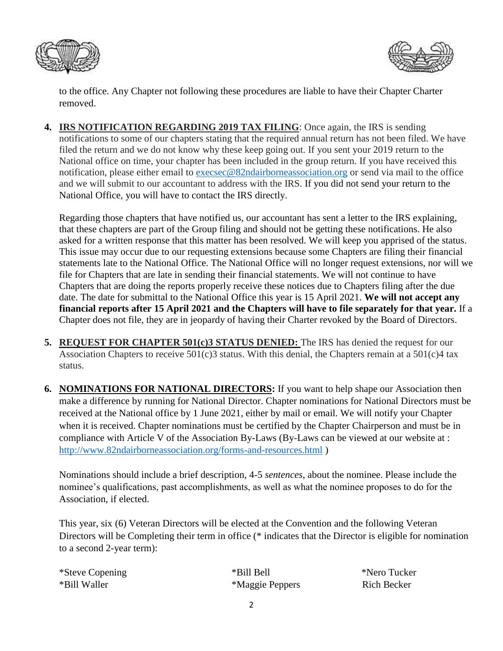



to the office. Any Chapter not following these procedures are liable to have their Chapter Charter removed.

**4. IRS NOTIFICATION REGARDING 2019 TAX FILING**: Once again, the IRS is sending notifications to some of our chapters stating that the required annual return has not been filed. We have filed the return and we do not know why these keep going out. If you sent your 2019 return to the National office on time, your chapter has been included in the group return. If you have received this notification, please either email to [execsec@82ndairborneassociation.org](mailto:execsec@82ndairborneassociation.org) or send via mail to the office and we will submit to our accountant to address with the IRS. If you did not send your return to the National Office, you will have to contact the IRS directly.

Regarding those chapters that have notified us, our accountant has sent a letter to the IRS explaining, that these chapters are part of the Group filing and should not be getting these notifications. He also asked for a written response that this matter has been resolved. We will keep you apprised of the status. This issue may occur due to our requesting extensions because some Chapters are filing their financial statements late to the National Office. The National Office will no longer request extensions, nor will we file for Chapters that are late in sending their financial statements. We will not continue to have Chapters that are doing the reports properly receive these notices due to Chapters filing after the due date. The date for submittal to the National Office this year is 15 April 2021. **We will not accept any financial reports after 15 April 2021 and the Chapters will have to file separately for that year.** If a Chapter does not file, they are in jeopardy of having their Charter revoked by the Board of Directors.

- **5. REQUEST FOR CHAPTER 501(c)3 STATUS DENIED:** The IRS has denied the request for our Association Chapters to receive  $501(c)3$  status. With this denial, the Chapters remain at a  $501(c)4$  tax status.
- **6. NOMINATIONS FOR NATIONAL DIRECTORS:** If you want to help shape our Association then make a difference by running for National Director. Chapter nominations for National Directors must be received at the National office by 1 June 2021, either by mail or email. We will notify your Chapter when it is received. Chapter nominations must be certified by the Chapter Chairperson and must be in compliance with Article V of the Association By-Laws (By-Laws can be viewed at our website at : <http://www.82ndairborneassociation.org/forms-and-resources.html> )

Nominations should include a brief description, 4-5 *sentences*, about the nominee. Please include the nominee's qualifications, past accomplishments, as well as what the nominee proposes to do for the Association, if elected.

This year, six (6) Veteran Directors will be elected at the Convention and the following Veteran Directors will be Completing their term in office (\* indicates that the Director is eligible for nomination to a second 2-year term):

| *Steve Copening | *Bill Bell      | *Nero Tucker       |
|-----------------|-----------------|--------------------|
| *Bill Waller    | *Maggie Peppers | <b>Rich Becker</b> |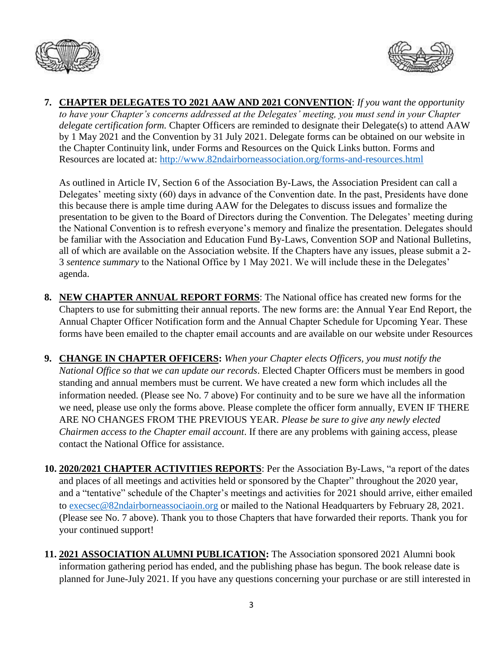



**7. CHAPTER DELEGATES TO 2021 AAW AND 2021 CONVENTION**: *If you want the opportunity to have your Chapter's concerns addressed at the Delegates' meeting, you must send in your Chapter delegate certification form.* Chapter Officers are reminded to designate their Delegate(s) to attend AAW by 1 May 2021 and the Convention by 31 July 2021. Delegate forms can be obtained on our website in the Chapter Continuity link, under Forms and Resources on the Quick Links button. Forms and Resources are located at:<http://www.82ndairborneassociation.org/forms-and-resources.html>

As outlined in Article IV, Section 6 of the Association By-Laws, the Association President can call a Delegates' meeting sixty (60) days in advance of the Convention date. In the past, Presidents have done this because there is ample time during AAW for the Delegates to discuss issues and formalize the presentation to be given to the Board of Directors during the Convention. The Delegates' meeting during the National Convention is to refresh everyone's memory and finalize the presentation. Delegates should be familiar with the Association and Education Fund By-Laws, Convention SOP and National Bulletins, all of which are available on the Association website. If the Chapters have any issues, please submit a 2- 3 *sentence summary* to the National Office by 1 May 2021. We will include these in the Delegates' agenda.

- **8. NEW CHAPTER ANNUAL REPORT FORMS**: The National office has created new forms for the Chapters to use for submitting their annual reports. The new forms are: the Annual Year End Report, the Annual Chapter Officer Notification form and the Annual Chapter Schedule for Upcoming Year. These forms have been emailed to the chapter email accounts and are available on our website under Resources
- **9. CHANGE IN CHAPTER OFFICERS:** *When your Chapter elects Officers, you must notify the National Office so that we can update our records*. Elected Chapter Officers must be members in good standing and annual members must be current. We have created a new form which includes all the information needed. (Please see No. 7 above) For continuity and to be sure we have all the information we need, please use only the forms above. Please complete the officer form annually, EVEN IF THERE ARE NO CHANGES FROM THE PREVIOUS YEAR. *Please be sure to give any newly elected Chairmen access to the Chapter email account*. If there are any problems with gaining access, please contact the National Office for assistance.
- **10. 2020/2021 CHAPTER ACTIVITIES REPORTS**: Per the Association By-Laws, "a report of the dates and places of all meetings and activities held or sponsored by the Chapter" throughout the 2020 year, and a "tentative" schedule of the Chapter's meetings and activities for 2021 should arrive, either emailed to [execsec@82ndairborneassociaoin.org](mailto:execsec@82ndairborneassociaoin.org) or mailed to the National Headquarters by February 28, 2021. (Please see No. 7 above). Thank you to those Chapters that have forwarded their reports. Thank you for your continued support!
- **11. 2021 ASSOCIATION ALUMNI PUBLICATION:** The Association sponsored 2021 Alumni book information gathering period has ended, and the publishing phase has begun. The book release date is planned for June-July 2021. If you have any questions concerning your purchase or are still interested in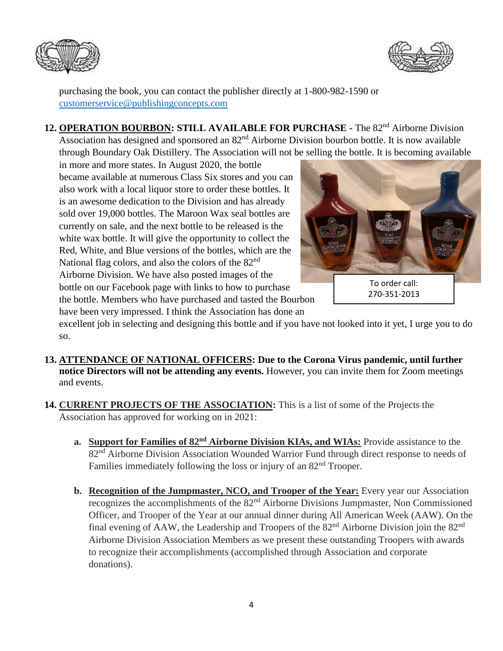



purchasing the book, you can contact the publisher directly at 1-800-982-1590 or [customerservice@publishingconcepts.com](mailto:customerservice@publishingconcepts.com)

12. **OPERATION BOURBON: STILL AVAILABLE FOR PURCHASE** - The 82<sup>nd</sup> Airborne Division Association has designed and sponsored an 82<sup>nd</sup> Airborne Division bourbon bottle. It is now available through Boundary Oak Distillery. The Association will not be selling the bottle. It is becoming available

in more and more states. In August 2020, the bottle became available at numerous Class Six stores and you can also work with a local liquor store to order these bottles. It is an awesome dedication to the Division and has already sold over 19,000 bottles. The Maroon Wax seal bottles are currently on sale, and the next bottle to be released is the white wax bottle. It will give the opportunity to collect the Red, White, and Blue versions of the bottles, which are the National flag colors, and also the colors of the  $82<sup>nd</sup>$ Airborne Division. We have also posted images of the bottle on our Facebook page with links to how to purchase the bottle. Members who have purchased and tasted the Bourbon have been very impressed. I think the Association has done an



excellent job in selecting and designing this bottle and if you have not looked into it yet, I urge you to do so.

- **13. ATTENDANCE OF NATIONAL OFFICERS: Due to the Corona Virus pandemic, until further notice Directors will not be attending any events.** However, you can invite them for Zoom meetings and events.
- **14. CURRENT PROJECTS OF THE ASSOCIATION:** This is a list of some of the Projects the Association has approved for working on in 2021:
	- **a. Support for Families of 82nd Airborne Division KIAs, and WIAs:** Provide assistance to the 82<sup>nd</sup> Airborne Division Association Wounded Warrior Fund through direct response to needs of Families immediately following the loss or injury of an 82<sup>nd</sup> Trooper.
	- **b. Recognition of the Jumpmaster, NCO, and Trooper of the Year:** Every year our Association recognizes the accomplishments of the 82nd Airborne Divisions Jumpmaster, Non Commissioned Officer, and Trooper of the Year at our annual dinner during All American Week (AAW). On the final evening of AAW, the Leadership and Troopers of the 82<sup>nd</sup> Airborne Division join the 82<sup>nd</sup> Airborne Division Association Members as we present these outstanding Troopers with awards to recognize their accomplishments (accomplished through Association and corporate donations).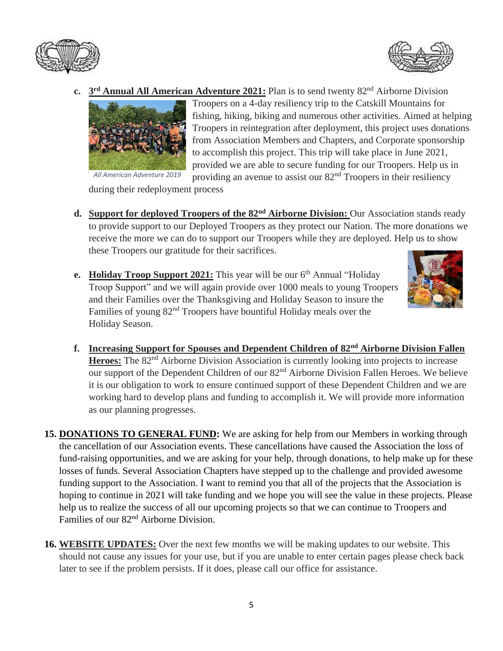



**c. 3 rd Annual All American Adventure 2021:** Plan is to send twenty 82nd Airborne Division



Troopers on a 4-day resiliency trip to the Catskill Mountains for fishing, hiking, biking and numerous other activities. Aimed at helping Troopers in reintegration after deployment, this project uses donations from Association Members and Chapters, and Corporate sponsorship to accomplish this project. This trip will take place in June 2021, provided we are able to secure funding for our Troopers. Help us in providing an avenue to assist our  $82<sup>nd</sup>$  Troopers in their resiliency

during their redeployment process

- **d. Support for deployed Troopers of the 82nd Airborne Division:** Our Association stands ready to provide support to our Deployed Troopers as they protect our Nation. The more donations we receive the more we can do to support our Troopers while they are deployed. Help us to show these Troopers our gratitude for their sacrifices.
- **e.** Holiday Troop Support 2021: This year will be our 6<sup>th</sup> Annual "Holiday Troop Support" and we will again provide over 1000 meals to young Troopers and their Families over the Thanksgiving and Holiday Season to insure the Families of young  $82<sup>nd</sup>$  Troopers have bountiful Holiday meals over the Holiday Season.



- **f. Increasing Support for Spouses and Dependent Children of 82nd Airborne Division Fallen**  Heroes: The 82<sup>nd</sup> Airborne Division Association is currently looking into projects to increase our support of the Dependent Children of our 82<sup>nd</sup> Airborne Division Fallen Heroes. We believe it is our obligation to work to ensure continued support of these Dependent Children and we are working hard to develop plans and funding to accomplish it. We will provide more information as our planning progresses.
- **15. DONATIONS TO GENERAL FUND:** We are asking for help from our Members in working through the cancellation of our Association events. These cancellations have caused the Association the loss of fund-raising opportunities, and we are asking for your help, through donations, to help make up for these losses of funds. Several Association Chapters have stepped up to the challenge and provided awesome funding support to the Association. I want to remind you that all of the projects that the Association is hoping to continue in 2021 will take funding and we hope you will see the value in these projects. Please help us to realize the success of all our upcoming projects so that we can continue to Troopers and Families of our 82<sup>nd</sup> Airborne Division.
- **16. WEBSITE UPDATES:** Over the next few months we will be making updates to our website. This should not cause any issues for your use, but if you are unable to enter certain pages please check back later to see if the problem persists. If it does, please call our office for assistance.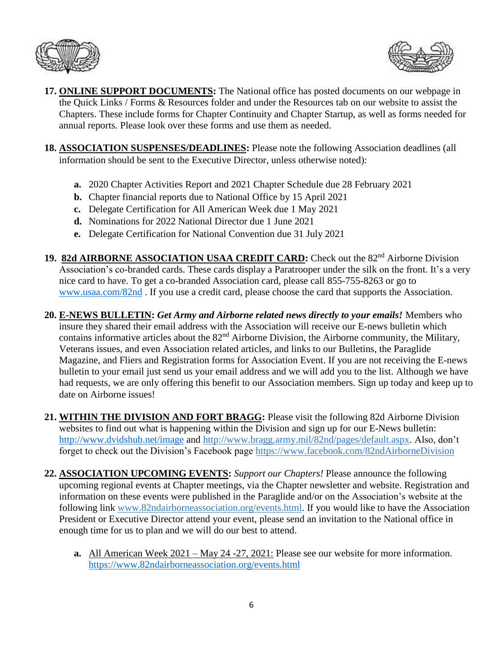



- **17. ONLINE SUPPORT DOCUMENTS:** The National office has posted documents on our webpage in the Quick Links / Forms & Resources folder and under the Resources tab on our website to assist the Chapters. These include forms for Chapter Continuity and Chapter Startup, as well as forms needed for annual reports. Please look over these forms and use them as needed.
- **18. ASSOCIATION SUSPENSES/DEADLINES:** Please note the following Association deadlines (all information should be sent to the Executive Director, unless otherwise noted):
	- **a.** 2020 Chapter Activities Report and 2021 Chapter Schedule due 28 February 2021
	- **b.** Chapter financial reports due to National Office by 15 April 2021
	- **c.** Delegate Certification for All American Week due 1 May 2021
	- **d.** Nominations for 2022 National Director due 1 June 2021
	- **e.** Delegate Certification for National Convention due 31 July 2021
- 19. 82d AIRBORNE ASSOCIATION USAA CREDIT CARD: Check out the 82<sup>nd</sup> Airborne Division Association's co-branded cards. These cards display a Paratrooper under the silk on the front. It's a very nice card to have. To get a co-branded Association card, please call 855-755-8263 or go to [www.usaa.com/82nd](http://www.usaa.com/82nd) . If you use a credit card, please choose the card that supports the Association.
- **20. E-NEWS BULLETIN:** *Get Army and Airborne related news directly to your emails!* Members who insure they shared their email address with the Association will receive our E-news bulletin which contains informative articles about the 82<sup>nd</sup> Airborne Division, the Airborne community, the Military, Veterans issues, and even Association related articles, and links to our Bulletins, the Paraglide Magazine, and Fliers and Registration forms for Association Event. If you are not receiving the E-news bulletin to your email just send us your email address and we will add you to the list. Although we have had requests, we are only offering this benefit to our Association members. Sign up today and keep up to date on Airborne issues!
- **21. WITHIN THE DIVISION AND FORT BRAGG:** Please visit the following 82d Airborne Division websites to find out what is happening within the Division and sign up for our E-News bulletin: <http://www.dvidshub.net/image> and [http://www.bragg.army.mil/82nd/pages/default.aspx.](http://www.bragg.army.mil/82ND/Pages/default.aspx) Also, don't forget to check out the Division's Facebook page<https://www.facebook.com/82ndAirborneDivision>
- **22. ASSOCIATION UPCOMING EVENTS:** *Support our Chapters!* Please announce the following upcoming regional events at Chapter meetings, via the Chapter newsletter and website. Registration and information on these events were published in the Paraglide and/or on the Association's website at the following link [www.82ndairborneassociation.org/events.html.](http://www.82ndairborneassociation.org/events.html) If you would like to have the Association President or Executive Director attend your event, please send an invitation to the National office in enough time for us to plan and we will do our best to attend.
	- **a.** All American Week 2021 May 24 -27, 2021: Please see our website for more information. <https://www.82ndairborneassociation.org/events.html>